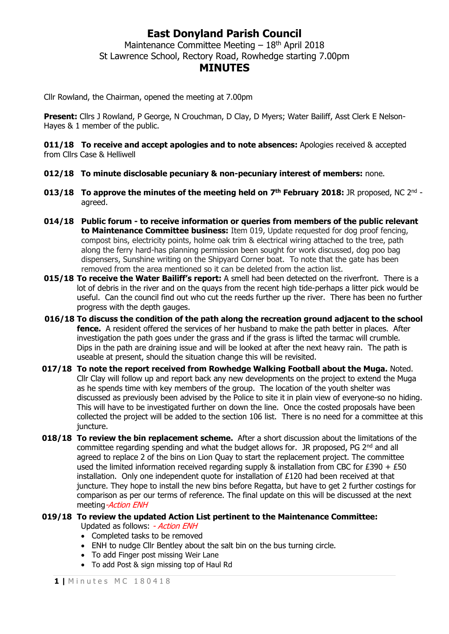## **East Donyland Parish Council**

Maintenance Committee Meeting  $-18<sup>th</sup>$  April 2018 St Lawrence School, Rectory Road, Rowhedge starting 7.00pm

## **MINUTES**

Cllr Rowland, the Chairman, opened the meeting at 7.00pm

**Present:** Cllrs J Rowland, P George, N Crouchman, D Clay, D Myers; Water Bailiff, Asst Clerk E Nelson-Hayes & 1 member of the public.

**011/18 To receive and accept apologies and to note absences:** Apologies received & accepted from Cllrs Case & Helliwell

- **012/18 To minute disclosable pecuniary & non-pecuniary interest of members:** none.
- **013/18 To approve the minutes of the meeting held on 7<sup>th</sup> February 2018: JR proposed, NC 2<sup>nd</sup>** agreed.
- **014/18 Public forum - to receive information or queries from members of the public relevant to Maintenance Committee business:** Item 019, Update requested for dog proof fencing, compost bins, electricity points, holme oak trim & electrical wiring attached to the tree, path along the ferry hard-has planning permission been sought for work discussed, dog poo bag dispensers, Sunshine writing on the Shipyard Corner boat. To note that the gate has been removed from the area mentioned so it can be deleted from the action list.
- **015/18 To receive the Water Bailiff's report:** A smell had been detected on the riverfront. There is a lot of debris in the river and on the quays from the recent high tide-perhaps a litter pick would be useful. Can the council find out who cut the reeds further up the river. There has been no further progress with the depth gauges.
- **016/18 To discuss the condition of the path along the recreation ground adjacent to the school fence.** A resident offered the services of her husband to make the path better in places. After investigation the path goes under the grass and if the grass is lifted the tarmac will crumble. Dips in the path are draining issue and will be looked at after the next heavy rain. The path is useable at present, should the situation change this will be revisited.
- **017/18 To note the report received from Rowhedge Walking Football about the Muga.** Noted. Cllr Clay will follow up and report back any new developments on the project to extend the Muga as he spends time with key members of the group. The location of the youth shelter was discussed as previously been advised by the Police to site it in plain view of everyone-so no hiding. This will have to be investigated further on down the line. Once the costed proposals have been collected the project will be added to the section 106 list. There is no need for a committee at this juncture.
- **018/18 To review the bin replacement scheme.** After a short discussion about the limitations of the committee regarding spending and what the budget allows for. JR proposed, PG  $2^{nd}$  and all agreed to replace 2 of the bins on Lion Quay to start the replacement project. The committee used the limited information received regarding supply & installation from CBC for £390 + £50 installation. Only one independent quote for installation of £120 had been received at that juncture. They hope to install the new bins before Regatta, but have to get 2 further costings for comparison as per our terms of reference. The final update on this will be discussed at the next meeting-Action ENH

#### **019/18 To review the updated Action List pertinent to the Maintenance Committee:**

Updated as follows: - Action ENH

- Completed tasks to be removed
- ENH to nudge Cllr Bentley about the salt bin on the bus turning circle.
- To add Finger post missing Weir Lane
- To add Post & sign missing top of Haul Rd